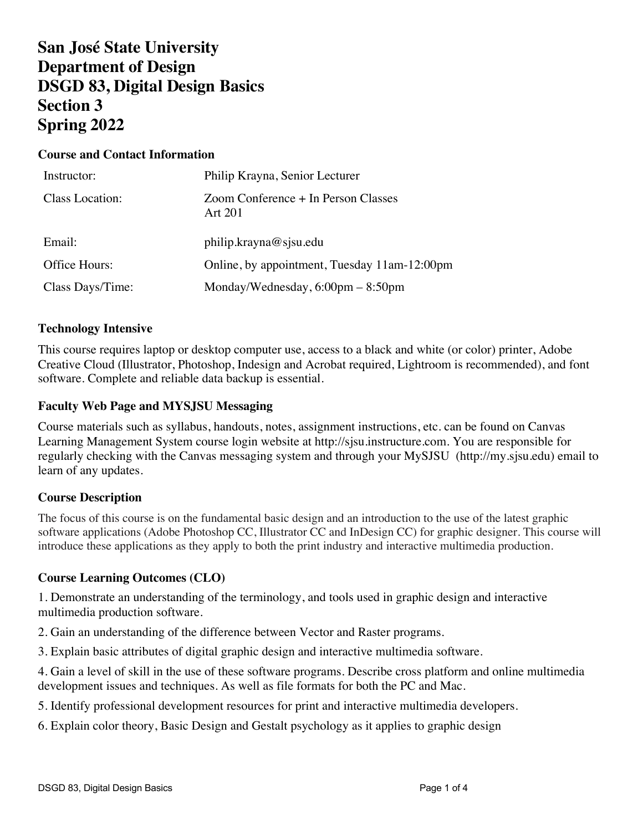# **San José State University Department of Design DSGD 83, Digital Design Basics Section 3 Spring 2022**

## **Course and Contact Information**

| Instructor:      | Philip Krayna, Senior Lecturer                      |
|------------------|-----------------------------------------------------|
| Class Location:  | Zoom Conference + In Person Classes<br>Art 201      |
| Email:           | philip.krayna@sjsu.edu                              |
| Office Hours:    | Online, by appointment, Tuesday 11am-12:00pm        |
| Class Days/Time: | Monday/Wednesday, $6:00 \text{pm} - 8:50 \text{pm}$ |

#### **Technology Intensive**

This course requires laptop or desktop computer use, access to a black and white (or color) printer, Adobe Creative Cloud (Illustrator, Photoshop, Indesign and Acrobat required, Lightroom is recommended), and font software. Complete and reliable data backup is essential.

#### **Faculty Web Page and MYSJSU Messaging**

Course materials such as syllabus, handouts, notes, assignment instructions, etc. can be found on Canvas Learning Management System course login website at http://sjsu.instructure.com. You are responsible for regularly checking with the Canvas messaging system and through your MySJSU (http://my.sjsu.edu) email to learn of any updates*.*

## **Course Description**

The focus of this course is on the fundamental basic design and an introduction to the use of the latest graphic software applications (Adobe Photoshop CC, Illustrator CC and InDesign CC) for graphic designer. This course will introduce these applications as they apply to both the print industry and interactive multimedia production.

#### **Course Learning Outcomes (CLO)**

1. Demonstrate an understanding of the terminology, and tools used in graphic design and interactive multimedia production software.

2. Gain an understanding of the difference between Vector and Raster programs.

3. Explain basic attributes of digital graphic design and interactive multimedia software.

4. Gain a level of skill in the use of these software programs. Describe cross platform and online multimedia development issues and techniques. As well as file formats for both the PC and Mac.

5. Identify professional development resources for print and interactive multimedia developers.

6. Explain color theory, Basic Design and Gestalt psychology as it applies to graphic design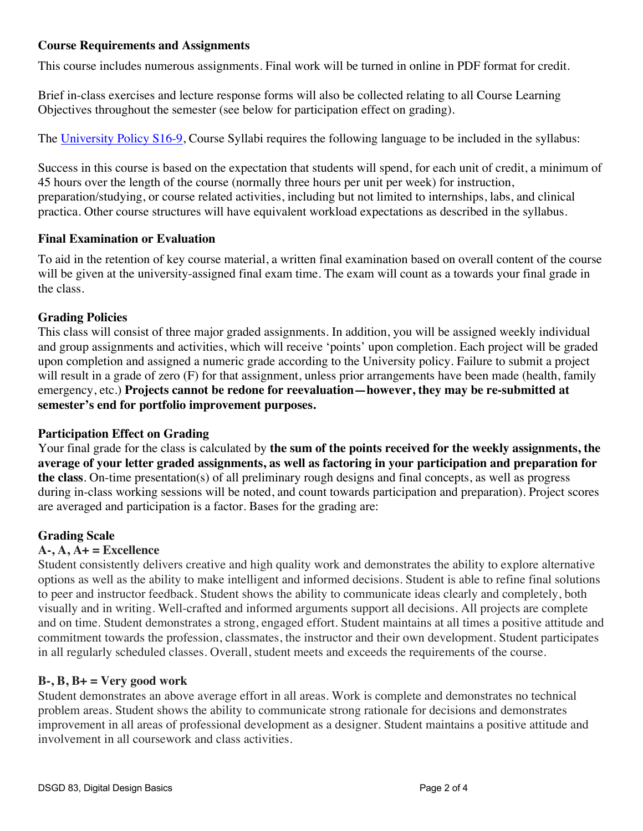# **Course Requirements and Assignments**

This course includes numerous assignments. Final work will be turned in online in PDF format for credit.

Brief in-class exercises and lecture response forms will also be collected relating to all Course Learning Objectives throughout the semester (see below for participation effect on grading).

The University Policy S16-9, Course Syllabi requires the following language to be included in the syllabus:

Success in this course is based on the expectation that students will spend, for each unit of credit, a minimum of 45 hours over the length of the course (normally three hours per unit per week) for instruction, preparation/studying, or course related activities, including but not limited to internships, labs, and clinical practica. Other course structures will have equivalent workload expectations as described in the syllabus.

## **Final Examination or Evaluation**

To aid in the retention of key course material, a written final examination based on overall content of the course will be given at the university-assigned final exam time. The exam will count as a towards your final grade in the class.

# **Grading Policies**

This class will consist of three major graded assignments. In addition, you will be assigned weekly individual and group assignments and activities, which will receive 'points' upon completion. Each project will be graded upon completion and assigned a numeric grade according to the University policy. Failure to submit a project will result in a grade of zero (F) for that assignment, unless prior arrangements have been made (health, family emergency, etc.) **Projects cannot be redone for reevaluation—however, they may be re-submitted at semester's end for portfolio improvement purposes.**

# **Participation Effect on Grading**

Your final grade for the class is calculated by **the sum of the points received for the weekly assignments, the average of your letter graded assignments, as well as factoring in your participation and preparation for the class**. On-time presentation(s) of all preliminary rough designs and final concepts, as well as progress during in-class working sessions will be noted, and count towards participation and preparation). Project scores are averaged and participation is a factor. Bases for the grading are:

# **Grading Scale**

# **A-, A, A+ = Excellence**

Student consistently delivers creative and high quality work and demonstrates the ability to explore alternative options as well as the ability to make intelligent and informed decisions. Student is able to refine final solutions to peer and instructor feedback. Student shows the ability to communicate ideas clearly and completely, both visually and in writing. Well-crafted and informed arguments support all decisions. All projects are complete and on time. Student demonstrates a strong, engaged effort. Student maintains at all times a positive attitude and commitment towards the profession, classmates, the instructor and their own development. Student participates in all regularly scheduled classes. Overall, student meets and exceeds the requirements of the course.

## **B-, B, B+ = Very good work**

Student demonstrates an above average effort in all areas. Work is complete and demonstrates no technical problem areas. Student shows the ability to communicate strong rationale for decisions and demonstrates improvement in all areas of professional development as a designer. Student maintains a positive attitude and involvement in all coursework and class activities.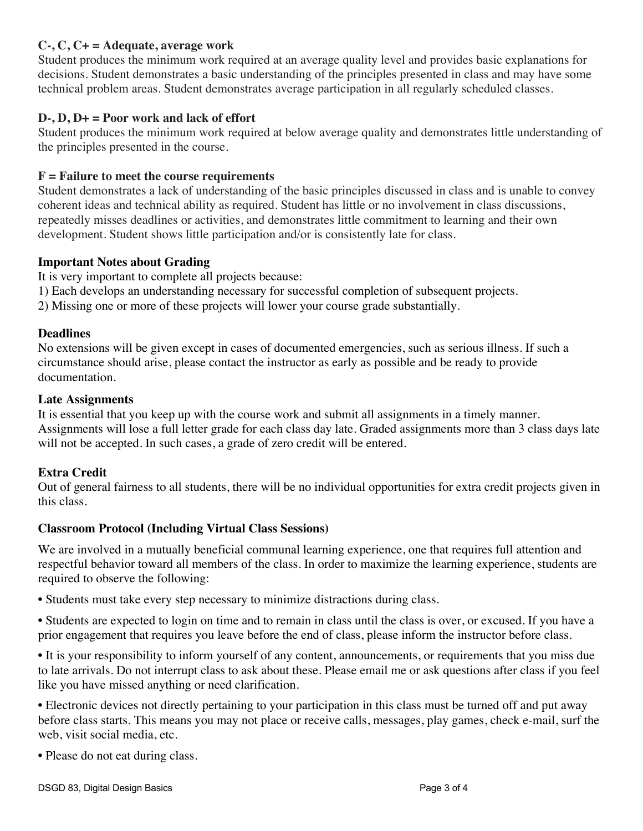# **C-, C, C+ = Adequate, average work**

Student produces the minimum work required at an average quality level and provides basic explanations for decisions. Student demonstrates a basic understanding of the principles presented in class and may have some technical problem areas. Student demonstrates average participation in all regularly scheduled classes.

## **D-, D, D+ = Poor work and lack of effort**

Student produces the minimum work required at below average quality and demonstrates little understanding of the principles presented in the course.

## **F = Failure to meet the course requirements**

Student demonstrates a lack of understanding of the basic principles discussed in class and is unable to convey coherent ideas and technical ability as required. Student has little or no involvement in class discussions, repeatedly misses deadlines or activities, and demonstrates little commitment to learning and their own development. Student shows little participation and/or is consistently late for class.

#### **Important Notes about Grading**

It is very important to complete all projects because:

- 1) Each develops an understanding necessary for successful completion of subsequent projects.
- 2) Missing one or more of these projects will lower your course grade substantially.

#### **Deadlines**

No extensions will be given except in cases of documented emergencies, such as serious illness. If such a circumstance should arise, please contact the instructor as early as possible and be ready to provide documentation.

#### **Late Assignments**

It is essential that you keep up with the course work and submit all assignments in a timely manner. Assignments will lose a full letter grade for each class day late. Graded assignments more than 3 class days late will not be accepted. In such cases, a grade of zero credit will be entered.

## **Extra Credit**

Out of general fairness to all students, there will be no individual opportunities for extra credit projects given in this class.

## **Classroom Protocol (Including Virtual Class Sessions)**

We are involved in a mutually beneficial communal learning experience, one that requires full attention and respectful behavior toward all members of the class. In order to maximize the learning experience, students are required to observe the following:

• Students must take every step necessary to minimize distractions during class.

• Students are expected to login on time and to remain in class until the class is over, or excused. If you have a prior engagement that requires you leave before the end of class, please inform the instructor before class.

• It is your responsibility to inform yourself of any content, announcements, or requirements that you miss due to late arrivals. Do not interrupt class to ask about these. Please email me or ask questions after class if you feel like you have missed anything or need clarification.

• Electronic devices not directly pertaining to your participation in this class must be turned off and put away before class starts. This means you may not place or receive calls, messages, play games, check e-mail, surf the web, visit social media, etc.

• Please do not eat during class.